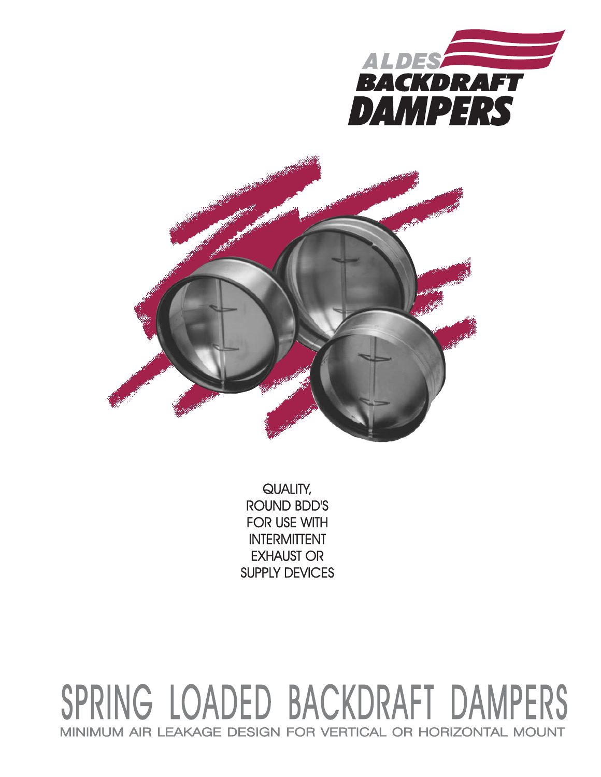



QUALITY, **ROUND BDD'S FOR USE WITH INTERMITTENT EXHAUST OR SUPPLY DEVICES** 

## SPRING LOADED BACKDRAFT DAMPERS MINIMUM AIR LEAKAGE DESIGN FOR VERTICAL OR HORIZONTAL MOUNT